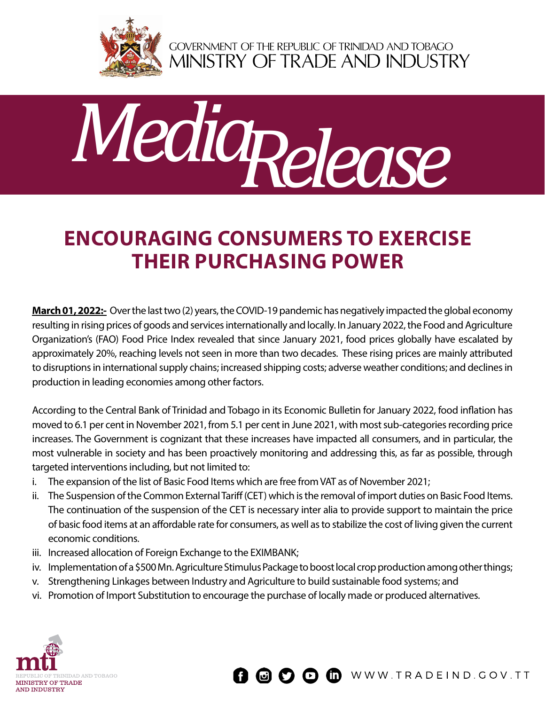

GOVERNMENT OF THE REPUBLIC OF TRINIDAD AND TOBAGO<br>MINISTRY OF TRADE AND INDUSTRY



## **Encouraging consumers to exercise their purchasing power**

**March 01, 2022:-** Over the last two (2) years, the COVID-19 pandemic has negatively impacted the global economy resulting in rising prices of goods and services internationally and locally. In January 2022, the Food and Agriculture Organization's (FAO) Food Price Index revealed that since January 2021, food prices globally have escalated by approximately 20%, reaching levels not seen in more than two decades. These rising prices are mainly attributed to disruptions in international supply chains; increased shipping costs; adverse weather conditions; and declines in production in leading economies among other factors.

According to the Central Bank of Trinidad and Tobago in its Economic Bulletin for January 2022, food inflation has moved to 6.1 per cent in November 2021, from 5.1 per cent in June 2021, with most sub-categories recording price increases. The Government is cognizant that these increases have impacted all consumers, and in particular, the most vulnerable in society and has been proactively monitoring and addressing this, as far as possible, through targeted interventions including, but not limited to:

- i. The expansion of the list of Basic Food Items which are free from VAT as of November 2021;
- ii. The Suspension of the Common External Tariff (CET) which is the removal of import duties on Basic Food Items. The continuation of the suspension of the CET is necessary inter alia to provide support to maintain the price of basic food items at an affordable rate for consumers, as well as to stabilize the cost of living given the current economic conditions.
- iii. Increased allocation of Foreign Exchange to the EXIMBANK;
- iv. Implementation of a \$500 Mn. Agriculture Stimulus Package to boost local crop production among other things;
- v. Strengthening Linkages between Industry and Agriculture to build sustainable food systems; and
- vi. Promotion of Import Substitution to encourage the purchase of locally made or produced alternatives.